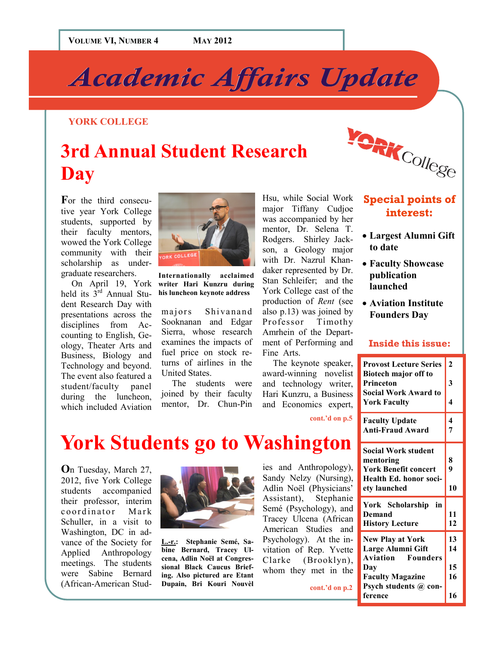# *Academic Affairs Update Academic Affairs Update*

### **YORK COLLEGE**

## **3rd Annual Student Research Day**

For the third consecutive year York College students, supported by their faculty mentors, wowed the York College community with their scholarship as undergraduate researchers.

On April 19, York held its  $3^{\text{rd}}$  Annual Student Research Day with presentations across the disciplines from Accounting to English, Geology, Theater Arts and Business, Biology and Technology and beyond. The event also featured a student/faculty panel during the luncheon, which included Aviation



**Internationally% acclaimed% writer% Hari% Kunzru% during%** his luncheon keynote address

majors Shivanand Sooknanan and Edgar Sierra, whose research examines the impacts of fuel price on stock returns of airlines in the United States.

The students were joined by their faculty mentor, Dr. Chun-Pin

Hsu, while Social Work major Tiffany Cudjoe was accompanied by her mentor, Dr. Selena T. Rodgers. Shirley Jackson, a Geology major with Dr. Nazrul Khandaker represented by Dr. Stan Schleifer; and the York College cast of the production of *Rent* (see also  $p.13$ ) was joined by Professor Timothy Amrhein of the Department of Performing and Fine Arts.

The keynote speaker, award-winning novelist and technology writer, Hari Kunzru, a Business and Economics expert,

cont.'d on p.5

### **Special points of interest:**

**SENCOllege** 

- Largest Alumni Gift **to%date**
- **Faculty Showcase publication% launched**
- **Aviation Institute Founders%Day**

#### **Inside this issue:**

| <b>Provost Lecture Series</b><br>Biotech major off to | $\overline{2}$ |
|-------------------------------------------------------|----------------|
| Princeton                                             | 3              |
| <b>Social Work Award to</b><br><b>York Faculty</b>    | 4              |
| <b>Faculty Update</b>                                 | 4<br>7         |
| <b>Anti-Fraud Award</b>                               |                |
| <b>Social Work student</b>                            |                |
| mentoring                                             | 8              |
| <b>York Benefit concert</b>                           | 9              |
| Health Ed. honor soci-                                |                |
| ety launched                                          | 10             |
| York Scholarship<br>in                                |                |
| Demand                                                | 11             |
| <b>History Lecture</b>                                | 12             |
| <b>New Play at York</b>                               | 13             |
| Large Alumni Gift                                     | 14             |
| <b>Aviation</b><br><b>Founders</b>                    |                |
| Day                                                   | 15             |
| <b>Faculty Magazine</b>                               | 16             |
| Psych students @ con-                                 |                |
| ference                                               | 16             |

### **York Students go to Washington**

**O**n Tuesday, March 27, 2012, five York College students accompanied their professor, interim coordinator Mark Schuller, in a visit to Washington, DC in advance of the Society for Applied Anthropology meetings. The students were Sabine Bernard (African-American Stud-



L.-r.: Stephanie Semé, Sabine Bernard, Tracey Ulcena, Adlin Noël at Congressional Black Caucus Briefing. Also pictured are Etant **Dupain,% Bri% Kouri% Nouvèl%**

ies and Anthropology), Sandy Nelzy (Nursing), Adlin Noël (Physicians' Assistant), Stephanie Semé (Psychology), and Tracey Ulcena (African American Studies and Psychology). At the invitation of Rep. Yvette Clarke (Brooklyn), whom they met in the

cont.'d on p.2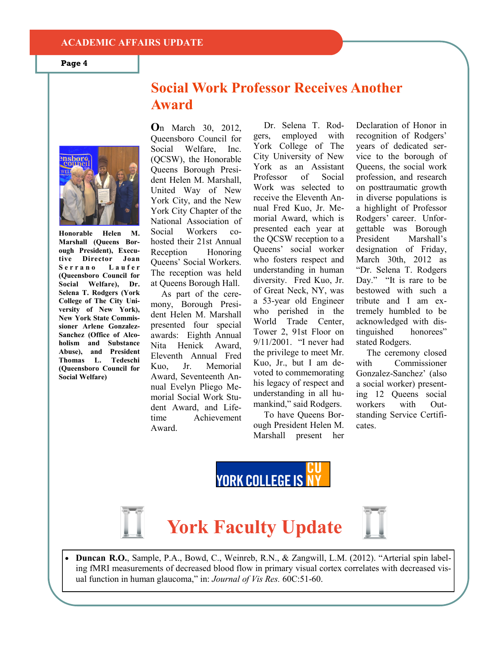#### **ACADEMIC%AFFAIRS%UPDATE**

**Page 4**

### **Social Work Professor Receives Another Award**



**Honorable Helen M. Marshall (Queens Bor**ough President), Execu**tive% Director% Joan%** Serrano Laufer **(Queensboro Council for** Social Welfare), Dr. **Selena T. Rodgers (York) College of The City Uni**versity of New York), **New York State Commis**sioner Arlene Gonzalez-**Sanchez** (Office of Alco**holism** and Substance Abuse), and President **Thomas% L.% Tedeschi% (Queensboro Council for Social Welfare)** 

**O**n March 30, 2012, Queensboro Council for Social Welfare, Inc. (QCSW), the Honorable Queens Borough President Helen M. Marshall, United Way of New York City, and the New York City Chapter of the National Association of Social Workers cohosted their 21st Annual Reception Honoring Oueens' Social Workers. The reception was held at Oueens Borough Hall.

As part of the ceremony, Borough President Helen M. Marshall presented four special awards: Eighth Annual Nita Henick Award, Eleventh" Annual" Fred" Kuo, Jr. Memorial Award, Seventeenth Annual Evelyn Pliego Memorial Social Work Student Award, and Lifetime Achievement Award

gers, employed with York College of The City University of New York as an Assistant Professor of Social Work was selected to receive the Eleventh Annual Fred Kuo, Jr. Memorial Award, which is presented each year at the QCSW reception to a Queens' social worker who fosters respect and understanding in human diversity. Fred Kuo, Jr. of Great Neck, NY, was a 53-year old Engineer who perished in the World Trade Center, Tower 2, 91st Floor on  $9/11/2001$ . "I never had the privilege to meet Mr. Kuo, Jr., but I am devoted to commemorating his legacy of respect and understanding in all humankind," said Rodgers.

Dr. Selena T. Rod-

To have Oueens Borough President Helen M. Marshall present her Declaration of Honor in recognition of Rodgers' years of dedicated service to the borough of Queens, the social work profession, and research on posttraumatic growth in diverse populations is a highlight of Professor Rodgers' career. Unforgettable was Borough President Marshall's designation of Friday, March 30th, 2012 as "Dr. Selena T. Rodgers Day." "It is rare to be bestowed with such a tribute and I am extremely humbled to be acknowledged with distinguished honorees" stated Rodgers.

The ceremony closed with Commissioner Gonzalez-Sanchez' (also a social worker) presenting 12 Oueens social workers with Outstanding Service Certificates.









**Duncan R.O.**, Sample, P.A., Bowd, C., Weinreb, R.N., & Zangwill, L.M. (2012). "Arterial spin labeling fMRI measurements of decreased blood flow in primary visual cortex correlates with decreased visual function in human glaucoma," in: *Journal of Vis Res.* 60C:51-60.